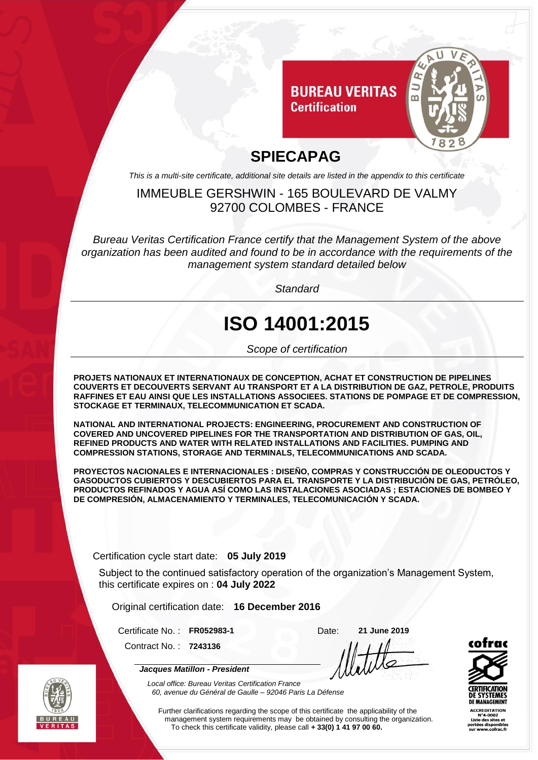

### **SPIECAPAG**

*This is a multi-site certificate, additional site details are listed in the appendix to this certificate*

#### IMMEUBLE GERSHWIN - 165 BOULEVARD DE VALMY 92700 COLOMBES - FRANCE

*Bureau Veritas Certification France certify that the Management System of the above organization has been audited and found to be in accordance with the requirements of the management system standard detailed below*

*Standard*

# **ISO 14001:2015**

*Scope of certification*

**PROJETS NATIONAUX ET INTERNATIONAUX DE CONCEPTION, ACHAT ET CONSTRUCTION DE PIPELINES COUVERTS ET DECOUVERTS SERVANT AU TRANSPORT ET A LA DISTRIBUTION DE GAZ, PETROLE, PRODUITS RAFFINES ET EAU AINSI QUE LES INSTALLATIONS ASSOCIEES. STATIONS DE POMPAGE ET DE COMPRESSION, STOCKAGE ET TERMINAUX, TELECOMMUNICATION ET SCADA.**

**NATIONAL AND INTERNATIONAL PROJECTS: ENGINEERING, PROCUREMENT AND CONSTRUCTION OF COVERED AND UNCOVERED PIPELINES FOR THE TRANSPORTATION AND DISTRIBUTION OF GAS, OIL, REFINED PRODUCTS AND WATER WITH RELATED INSTALLATIONS AND FACILITIES. PUMPING AND COMPRESSION STATIONS, STORAGE AND TERMINALS, TELECOMMUNICATIONS AND SCADA.**

**PROYECTOS NACIONALES E INTERNACIONALES : DISEÑO, COMPRAS Y CONSTRUCCIÓN DE OLEODUCTOS Y GASODUCTOS CUBIERTOS Y DESCUBIERTOS PARA EL TRANSPORTE Y LA DISTRIBUCIÓN DE GAS, PETRÓLEO, PRODUCTOS REFINADOS Y AGUA ASÍ COMO LAS INSTALACIONES ASOCIADAS ; ESTACIONES DE BOMBEO Y DE COMPRESIÓN, ALMACENAMIENTO Y TERMINALES, TELECOMUNICACIÓN Y SCADA.**

Certification cycle start date: **05 July 2019**

Subject to the continued satisfactory operation of the organization's Management System, this certificate expires on : **04 July 2022**

Original certification date: **16 December 2016**

Certificate No. : **FR052983-1** Date: **21 June 2019**

Contract No. : **7243136**

*Jacques Matillon - President*



CCREDITATION



*Local office: Bureau Veritas Certification France 60, avenue du Général de Gaulle – 92046 Paris La Défense*

Further clarifications regarding the scope of this certificate the applicability of the management system requirements may be obtained by consulting the organization. To check this certificate validity, please call **+ 33(0) 1 41 97 00 60.**